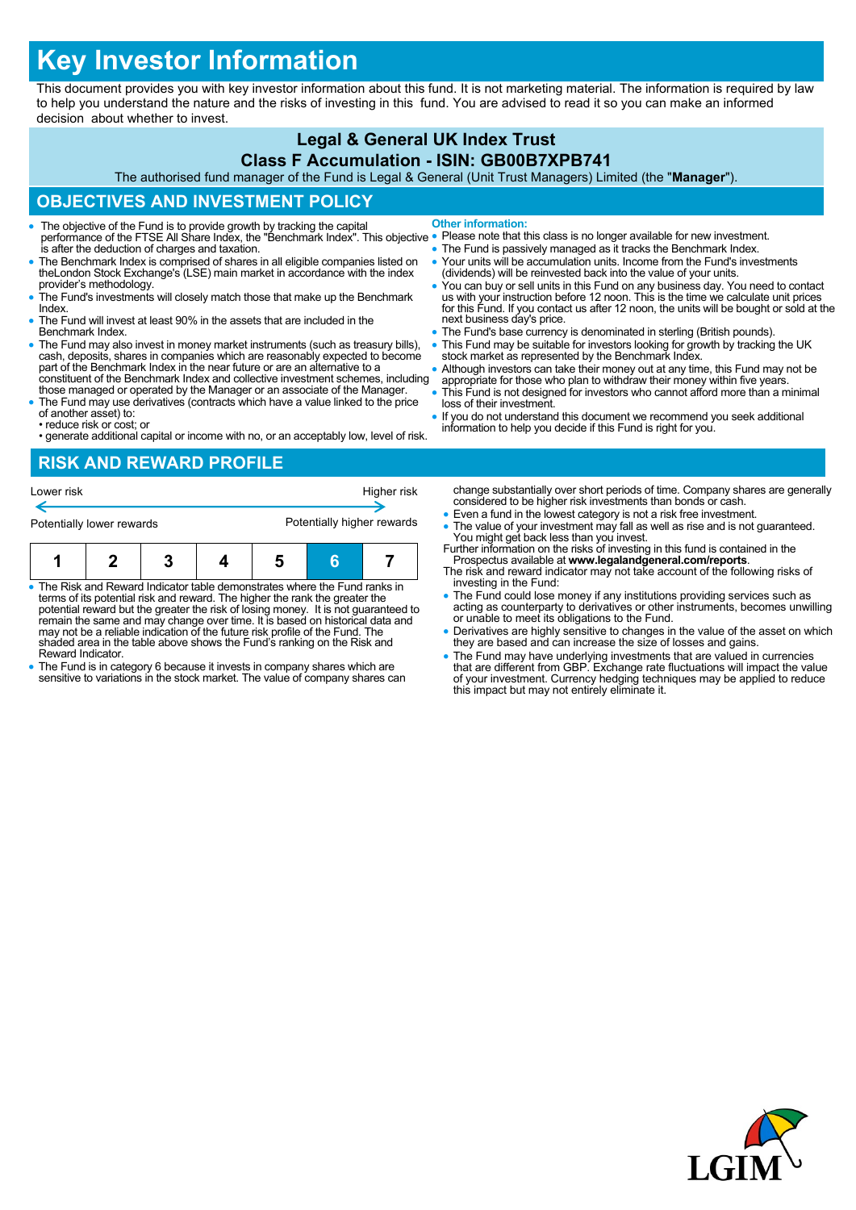# **Key Investor Information**

This document provides you with key investor information about this fund. It is not marketing material. The information is required by law to help you understand the nature and the risks of investing in this fund. You are advised to read it so you can make an informed decision about whether to invest.

## **Legal & General UK Index Trust**

#### **Class F Accumulation - ISIN: GB00B7XPB741**

The authorised fund manager of the Fund is Legal & General (Unit Trust Managers) Limited (the "**Manager**").

## **OBJECTIVES AND INVESTMENT POLICY**

- The objective of the Fund is to provide growth by tracking the capital performance of the FTSE All Share Index, the "Benchmark Index". This objective is after the deduction of charges and taxation.
- The Benchmark Index is comprised of shares in all eligible companies listed on theLondon Stock Exchange's (LSE) main market in accordance with the index provider's methodology.
- The Fund's investments will closely match those that make up the Benchmark Index.
- The Fund will invest at least 90% in the assets that are included in the Benchmark Index.
- The Fund may also invest in money market instruments (such as treasury bills), cash, deposits, shares in companies which are reasonably expected to become part of the Benchmark Index in the near future or are an alternative to a constituent of the Benchmark Index and collective investment schemes, including
- those managed or operated by the Manager or an associate of the Manager. The Fund may use derivatives (contracts which have a value linked to the price
- of another asset) to: • reduce risk or cost; or
- generate additional capital or income with no, or an acceptably low, level of risk.
- **Other information:**
	- Please note that this class is no longer available for new investment.
- The Fund is passively managed as it tracks the Benchmark Index.
- Your units will be accumulation units. Income from the Fund's investments (dividends) will be reinvested back into the value of your units.
- You can buy or sell units in this Fund on any business day. You need to contact us with your instruction before 12 noon. This is the time we calculate unit prices for this Fund. If you contact us after 12 noon, the units will be bought or sold at the next business day's price.
- **The Fund's base currency is denominated in sterling (British pounds)**.
- This Fund may be suitable for investors looking for growth by tracking the UK stock market as represented by the Benchmark Index.
- Although investors can take their money out at any time, this Fund may not be appropriate for those who plan to withdraw their money within five years.
- This Fund is not designed for investors who cannot afford more than a minimal loss of their investment.
- If you do not understand this document we recommend you seek additional information to help you decide if this Fund is right for you.

### **RISK AND REWARD PROFILE**

| Lower risk                |  |  |  | Higher risk                |   |  |   |
|---------------------------|--|--|--|----------------------------|---|--|---|
| Potentially lower rewards |  |  |  | Potentially higher rewards |   |  |   |
|                           |  |  |  | a                          | 6 |  | F |

- The Risk and Reward Indicator table demonstrates where the Fund ranks in terms of its potential risk and reward. The higher the rank the greater the potential reward but the greater the risk of losing money. It is not guaranteed to remain the same and may change over time. It is based on historical data and may not be a reliable indication of the future risk profile of the Fund. The shaded area in the table above shows the Fund's ranking on the Risk and Reward Indicator.
- The Fund is in category 6 because it invests in company shares which are sensitive to variations in the stock market. The value of company shares can
- change substantially over short periods of time. Company shares are generally considered to be higher risk investments than bonds or cash.
- Even a fund in the lowest category is not a risk free investment.
- The value of your investment may fall as well as rise and is not guaranteed. You might get back less than you invest. Further information on the risks of investing in this fund is contained in the
- Prospectus available at **www.legalandgeneral.com/reports**. The risk and reward indicator may not take account of the following risks of
- investing in the Fund: The Fund could lose money if any institutions providing services such as acting as counterparty to derivatives or other instruments, becomes unwilling or unable to meet its obligations to the Fund.
- Derivatives are highly sensitive to changes in the value of the asset on which they are based and can increase the size of losses and gains.
- The Fund may have underlying investments that are valued in currencies<br>that are different from GBP. Exchange rate fluctuations will impact the value<br>of your investment. Currency hedging techniques may be applied to reduc